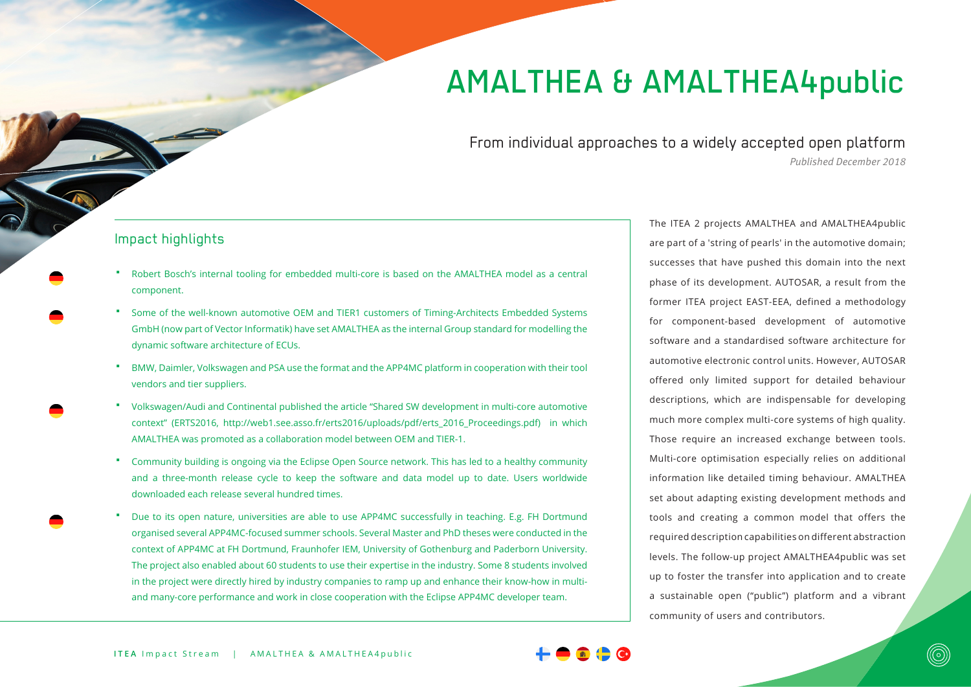# AMALTHEA & AMALTHEA4public

From individual approaches to a widely accepted open platform *Published December 2018*

#### Impact highlights

- Robert Bosch's internal tooling for embedded multi-core is based on the AMALTHEA model as a central component.
- Some of the well-known automotive OEM and TIER1 customers of Timing-Architects Embedded Systems GmbH (now part of Vector Informatik) have set AMALTHEA as the internal Group standard for modelling the dynamic software architecture of ECUs.
- BMW, Daimler, Volkswagen and PSA use the format and the APP4MC platform in cooperation with their tool vendors and tier suppliers.
- Volkswagen/Audi and Continental published the article "Shared SW development in multi-core automotive context" (ERTS2016, http://web1.see.asso.fr/erts2016/uploads/pdf/erts\_2016\_Proceedings.pdf) in which AMALTHEA was promoted as a collaboration model between OEM and TIER-1.
- Community building is ongoing via the Eclipse Open Source network. This has led to a healthy community and a three-month release cycle to keep the software and data model up to date. Users worldwide downloaded each release several hundred times.
- Due to its open nature, universities are able to use APP4MC successfully in teaching. E.g. FH Dortmund organised several APP4MC-focused summer schools. Several Master and PhD theses were conducted in the context of APP4MC at FH Dortmund, Fraunhofer IEM, University of Gothenburg and Paderborn University. The project also enabled about 60 students to use their expertise in the industry. Some 8 students involved in the project were directly hired by industry companies to ramp up and enhance their know-how in multiand many-core performance and work in close cooperation with the Eclipse APP4MC developer team.

The ITEA 2 projects AMALTHEA and AMALTHEA4public are part of a 'string of pearls' in the automotive domain; successes that have pushed this domain into the next phase of its development. AUTOSAR, a result from the former ITEA project EAST-EEA, defined a methodology for component-based development of automotive software and a standardised software architecture for automotive electronic control units. However, AUTOSAR offered only limited support for detailed behaviour descriptions, which are indispensable for developing much more complex multi-core systems of high quality. Those require an increased exchange between tools. Multi-core optimisation especially relies on additional information like detailed timing behaviour. AMALTHEA set about adapting existing development methods and tools and creating a common model that offers the required description capabilities on different abstraction levels. The follow-up project AMALTHEA4public was set up to foster the transfer into application and to create a sustainable open ("public") platform and a vibrant community of users and contributors.